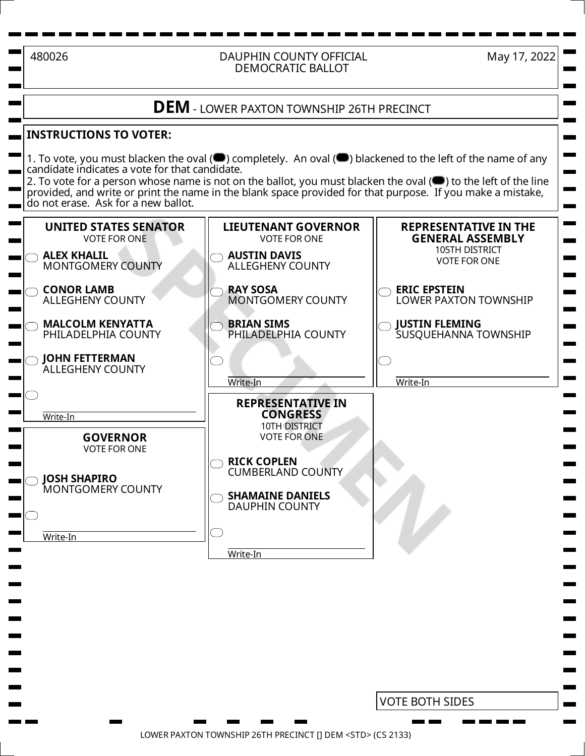## 480026 DAUPHIN COUNTY OFFICIAL DEMOCRATIC BALLOT

May 17, 2022

## **DEM** - LOWER PAXTON TOWNSHIP 26TH PRECINCT

## **INSTRUCTIONS TO VOTER:**

1. To vote, you must blacken the oval ( $\bigcirc$ ) completely. An oval ( $\bigcirc$ ) blackened to the left of the name of any candidate indicates a vote for that candidate.

2. To vote for a person whose name is not on the ballot, you must blacken the oval ( $\blacksquare$ ) to the left of the line provided, and write or print the name in the blank space provided for that purpose. If you make a mistake, do not erase. Ask for a new ballot.